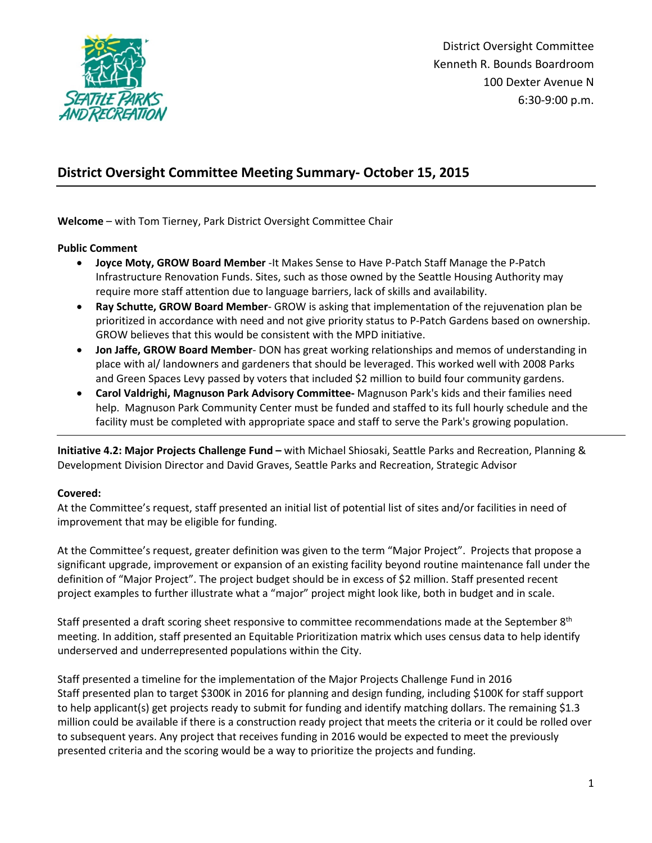

District Oversight Committee Kenneth R. Bounds Boardroom 100 Dexter Avenue N 6:30-9:00 p.m.

# **District Oversight Committee Meeting Summary- October 15, 2015**

**Welcome** – with Tom Tierney, Park District Oversight Committee Chair

**Public Comment**

- **Joyce Moty, GROW Board Member** -It Makes Sense to Have P-Patch Staff Manage the P-Patch Infrastructure Renovation Funds. Sites, such as those owned by the Seattle Housing Authority may require more staff attention due to language barriers, lack of skills and availability.
- **Ray Schutte, GROW Board Member** GROW is asking that implementation of the rejuvenation plan be prioritized in accordance with need and not give priority status to P-Patch Gardens based on ownership. GROW believes that this would be consistent with the MPD initiative.
- **Jon Jaffe, GROW Board Member** DON has great working relationships and memos of understanding in place with al/ landowners and gardeners that should be leveraged. This worked well with 2008 Parks and Green Spaces Levy passed by voters that included \$2 million to build four community gardens.
- **Carol Valdrighi, Magnuson Park Advisory Committee-** Magnuson Park's kids and their families need help. Magnuson Park Community Center must be funded and staffed to its full hourly schedule and the facility must be completed with appropriate space and staff to serve the Park's growing population.

**Initiative 4.2: Major Projects Challenge Fund –** with Michael Shiosaki, Seattle Parks and Recreation, Planning & Development Division Director and David Graves, Seattle Parks and Recreation, Strategic Advisor

#### **Covered:**

At the Committee's request, staff presented an initial list of potential list of sites and/or facilities in need of improvement that may be eligible for funding.

At the Committee's request, greater definition was given to the term "Major Project". Projects that propose a significant upgrade, improvement or expansion of an existing facility beyond routine maintenance fall under the definition of "Major Project". The project budget should be in excess of \$2 million. Staff presented recent project examples to further illustrate what a "major" project might look like, both in budget and in scale.

Staff presented a draft scoring sheet responsive to committee recommendations made at the September 8<sup>th</sup> meeting. In addition, staff presented an Equitable Prioritization matrix which uses census data to help identify underserved and underrepresented populations within the City.

Staff presented a timeline for the implementation of the Major Projects Challenge Fund in 2016 Staff presented plan to target \$300K in 2016 for planning and design funding, including \$100K for staff support to help applicant(s) get projects ready to submit for funding and identify matching dollars. The remaining \$1.3 million could be available if there is a construction ready project that meets the criteria or it could be rolled over to subsequent years. Any project that receives funding in 2016 would be expected to meet the previously presented criteria and the scoring would be a way to prioritize the projects and funding.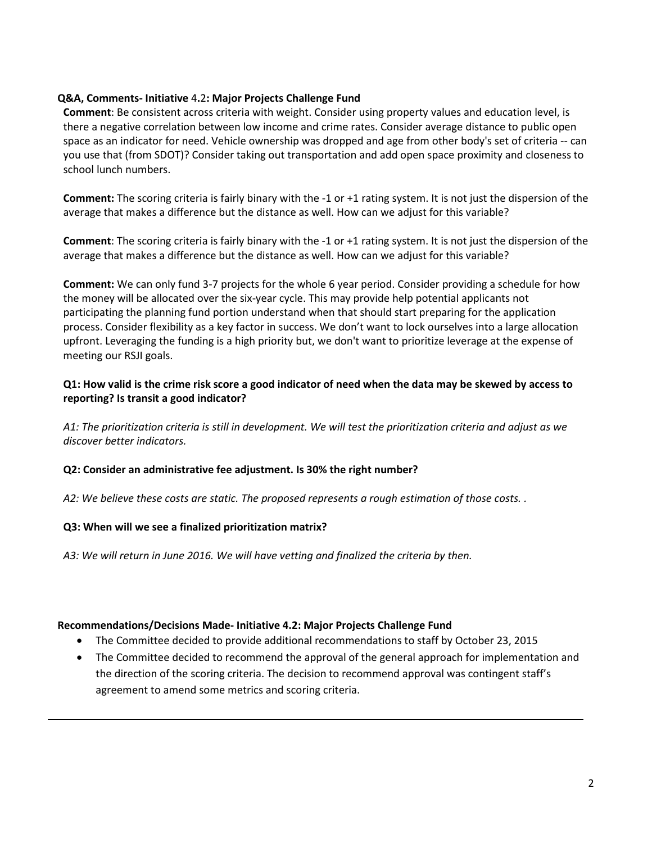### **Q&A, Comments- Initiative** 4**.**2**: Major Projects Challenge Fund**

**Comment**: Be consistent across criteria with weight. Consider using property values and education level, is there a negative correlation between low income and crime rates. Consider average distance to public open space as an indicator for need. Vehicle ownership was dropped and age from other body's set of criteria -- can you use that (from SDOT)? Consider taking out transportation and add open space proximity and closeness to school lunch numbers.

**Comment:** The scoring criteria is fairly binary with the -1 or +1 rating system. It is not just the dispersion of the average that makes a difference but the distance as well. How can we adjust for this variable?

**Comment**: The scoring criteria is fairly binary with the -1 or +1 rating system. It is not just the dispersion of the average that makes a difference but the distance as well. How can we adjust for this variable?

**Comment:** We can only fund 3-7 projects for the whole 6 year period. Consider providing a schedule for how the money will be allocated over the six-year cycle. This may provide help potential applicants not participating the planning fund portion understand when that should start preparing for the application process. Consider flexibility as a key factor in success. We don't want to lock ourselves into a large allocation upfront. Leveraging the funding is a high priority but, we don't want to prioritize leverage at the expense of meeting our RSJI goals.

### **Q1: How valid is the crime risk score a good indicator of need when the data may be skewed by access to reporting? Is transit a good indicator?**

*A1: The prioritization criteria is still in development. We will test the prioritization criteria and adjust as we discover better indicators.*

#### **Q2: Consider an administrative fee adjustment. Is 30% the right number?**

*A2: We believe these costs are static. The proposed represents a rough estimation of those costs. .*

# **Q3: When will we see a finalized prioritization matrix?**

*A3: We will return in June 2016. We will have vetting and finalized the criteria by then.* 

#### **Recommendations/Decisions Made- Initiative 4.2: Major Projects Challenge Fund**

- The Committee decided to provide additional recommendations to staff by October 23, 2015
- The Committee decided to recommend the approval of the general approach for implementation and the direction of the scoring criteria. The decision to recommend approval was contingent staff's agreement to amend some metrics and scoring criteria.